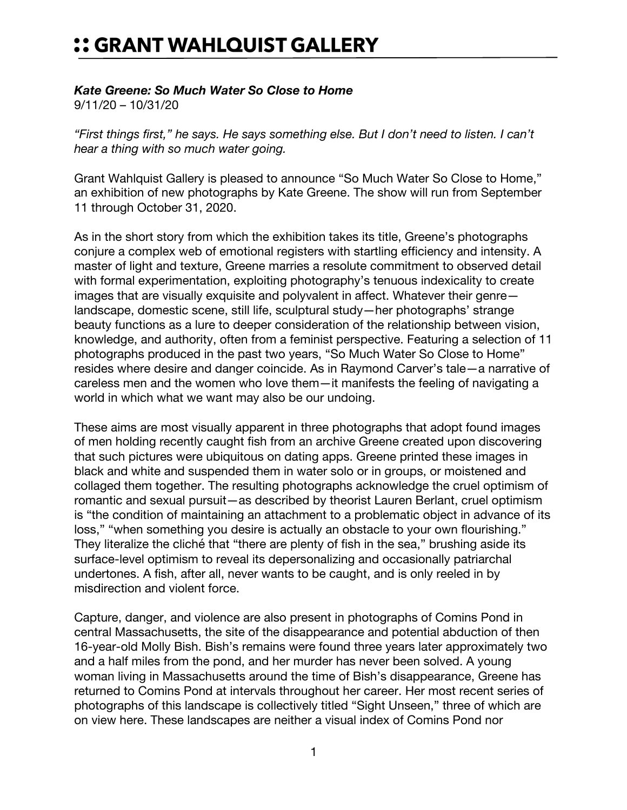## :: GRANT WAHLQUIST GALLERY

## *Kate Greene: So Much Water So Close to Home*

9/11/20 – 10/31/20

*"First things first," he says. He says something else. But I don't need to listen. I can't hear a thing with so much water going.*

Grant Wahlquist Gallery is pleased to announce "So Much Water So Close to Home," an exhibition of new photographs by Kate Greene. The show will run from September 11 through October 31, 2020.

As in the short story from which the exhibition takes its title, Greene's photographs conjure a complex web of emotional registers with startling efficiency and intensity. A master of light and texture, Greene marries a resolute commitment to observed detail with formal experimentation, exploiting photography's tenuous indexicality to create images that are visually exquisite and polyvalent in affect. Whatever their genre landscape, domestic scene, still life, sculptural study—her photographs' strange beauty functions as a lure to deeper consideration of the relationship between vision, knowledge, and authority, often from a feminist perspective. Featuring a selection of 11 photographs produced in the past two years, "So Much Water So Close to Home" resides where desire and danger coincide. As in Raymond Carver's tale—a narrative of careless men and the women who love them—it manifests the feeling of navigating a world in which what we want may also be our undoing.

These aims are most visually apparent in three photographs that adopt found images of men holding recently caught fish from an archive Greene created upon discovering that such pictures were ubiquitous on dating apps. Greene printed these images in black and white and suspended them in water solo or in groups, or moistened and collaged them together. The resulting photographs acknowledge the cruel optimism of romantic and sexual pursuit—as described by theorist Lauren Berlant, cruel optimism is "the condition of maintaining an attachment to a problematic object in advance of its loss," "when something you desire is actually an obstacle to your own flourishing." They literalize the cliché that "there are plenty of fish in the sea," brushing aside its surface-level optimism to reveal its depersonalizing and occasionally patriarchal undertones. A fish, after all, never wants to be caught, and is only reeled in by misdirection and violent force.

Capture, danger, and violence are also present in photographs of Comins Pond in central Massachusetts, the site of the disappearance and potential abduction of then 16-year-old Molly Bish. Bish's remains were found three years later approximately two and a half miles from the pond, and her murder has never been solved. A young woman living in Massachusetts around the time of Bish's disappearance, Greene has returned to Comins Pond at intervals throughout her career. Her most recent series of photographs of this landscape is collectively titled "Sight Unseen," three of which are on view here. These landscapes are neither a visual index of Comins Pond nor